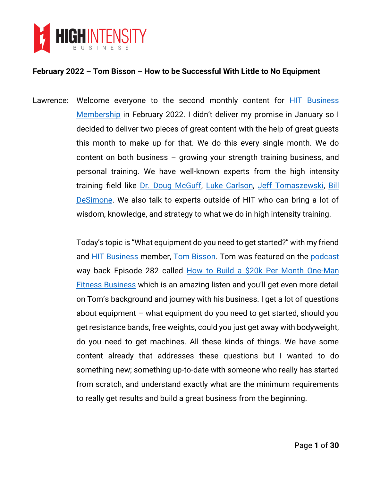

Lawrence: Welcome everyone to the second monthly content for [HIT Business](https://highintensitybusiness.com/members/index.php)  [Membership](https://highintensitybusiness.com/members/index.php) in February 2022. I didn't deliver my promise in January so I decided to deliver two pieces of great content with the help of great guests this month to make up for that. We do this every single month. We do content on both business – growing your strength training business, and personal training. We have well-known experts from the high intensity training field like [Dr. Doug McGuff,](http://drmcguff.com/) [Luke Carlson,](https://www.linkedin.com/in/luke-carlson-9769816/) [Jeff Tomaszewski,](https://www.maxstrengthfitness.com/about/personal-trainer-westlake-ohio/) Bill [DeSimone.](https://www.linkedin.com/in/bildes/) We also talk to experts outside of HIT who can bring a lot of wisdom, knowledge, and strategy to what we do in high intensity training.

> Today's topic is "What equipment do you need to get started?" with my friend and [HIT Business](https://highintensitybusiness.com/members/index.php) member, [Tom Bisson.](https://www.linkedin.com/in/thomas-bisson-72a09075/) Tom was featured on the [podcast](https://highintensitybusiness.com/podcasts/) way back Episode 282 called [How to Build a \\$20k Per Month One-Man](https://highintensitybusiness.com/282-tom-bisson-how-to-build-a-20k-per-month-one-man-fitness-business/)  [Fitness Business](https://highintensitybusiness.com/282-tom-bisson-how-to-build-a-20k-per-month-one-man-fitness-business/) which is an amazing listen and you'll get even more detail on Tom's background and journey with his business. I get a lot of questions about equipment – what equipment do you need to get started, should you get resistance bands, free weights, could you just get away with bodyweight, do you need to get machines. All these kinds of things. We have some content already that addresses these questions but I wanted to do something new; something up-to-date with someone who really has started from scratch, and understand exactly what are the minimum requirements to really get results and build a great business from the beginning.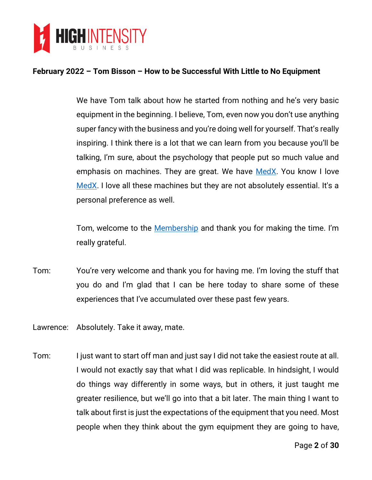

We have Tom talk about how he started from nothing and he's very basic equipment in the beginning. I believe, Tom, even now you don't use anything super fancy with the business and you're doing well for yourself. That's really inspiring. I think there is a lot that we can learn from you because you'll be talking, I'm sure, about the psychology that people put so much value and emphasis on machines. They are great. We have [MedX.](http://medxonline.net/) You know I love [MedX.](http://medxonline.net/) I love all these machines but they are not absolutely essential. It's a personal preference as well.

Tom, welcome to the [Membership](https://highintensitybusiness.com/members/index.php) and thank you for making the time. I'm really grateful.

- Tom: You're very welcome and thank you for having me. I'm loving the stuff that you do and I'm glad that I can be here today to share some of these experiences that I've accumulated over these past few years.
- Lawrence: Absolutely. Take it away, mate.
- Tom: I just want to start off man and just say I did not take the easiest route at all. I would not exactly say that what I did was replicable. In hindsight, I would do things way differently in some ways, but in others, it just taught me greater resilience, but we'll go into that a bit later. The main thing I want to talk about first is just the expectations of the equipment that you need. Most people when they think about the gym equipment they are going to have,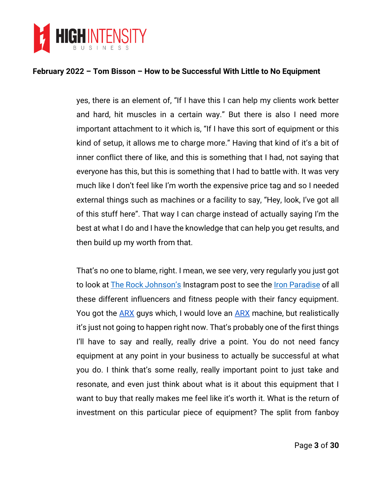

yes, there is an element of, "If I have this I can help my clients work better and hard, hit muscles in a certain way." But there is also I need more important attachment to it which is, "If I have this sort of equipment or this kind of setup, it allows me to charge more." Having that kind of it's a bit of inner conflict there of like, and this is something that I had, not saying that everyone has this, but this is something that I had to battle with. It was very much like I don't feel like I'm worth the expensive price tag and so I needed external things such as machines or a facility to say, "Hey, look, I've got all of this stuff here". That way I can charge instead of actually saying I'm the best at what I do and I have the knowledge that can help you get results, and then build up my worth from that.

That's no one to blame, right. I mean, we see very, very regularly you just got to look at **[The Rock Johnson's](https://www.instagram.com/therock)** Instagram post to see the <u>Iron Paradise</u> of all these different influencers and fitness people with their fancy equipment. You got the [ARX](https://bit.ly/3MNTyIY) guys which, I would love an ARX machine, but realistically it's just not going to happen right now. That's probably one of the first things I'll have to say and really, really drive a point. You do not need fancy equipment at any point in your business to actually be successful at what you do. I think that's some really, really important point to just take and resonate, and even just think about what is it about this equipment that I want to buy that really makes me feel like it's worth it. What is the return of investment on this particular piece of equipment? The split from fanboy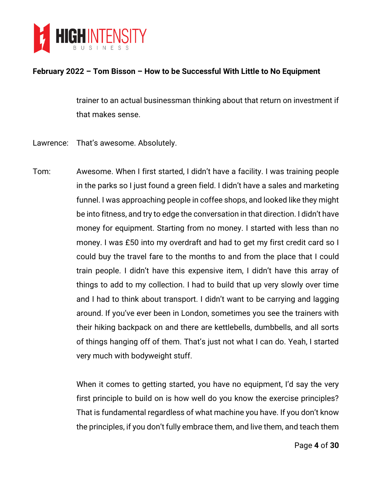

trainer to an actual businessman thinking about that return on investment if that makes sense.

- Lawrence: That's awesome. Absolutely.
- Tom: Awesome. When I first started, I didn't have a facility. I was training people in the parks so I just found a green field. I didn't have a sales and marketing funnel. I was approaching people in coffee shops, and looked like they might be into fitness, and try to edge the conversation in that direction. I didn't have money for equipment. Starting from no money. I started with less than no money. I was £50 into my overdraft and had to get my first credit card so I could buy the travel fare to the months to and from the place that I could train people. I didn't have this expensive item, I didn't have this array of things to add to my collection. I had to build that up very slowly over time and I had to think about transport. I didn't want to be carrying and lagging around. If you've ever been in London, sometimes you see the trainers with their hiking backpack on and there are kettlebells, dumbbells, and all sorts of things hanging off of them. That's just not what I can do. Yeah, I started very much with bodyweight stuff.

When it comes to getting started, you have no equipment, I'd say the very first principle to build on is how well do you know the exercise principles? That is fundamental regardless of what machine you have. If you don't know the principles, if you don't fully embrace them, and live them, and teach them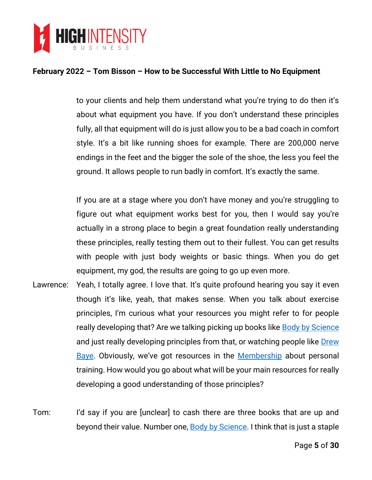

to your clients and help them understand what you're trying to do then it's about what equipment you have. If you don't understand these principles fully, all that equipment will do is just allow you to be a bad coach in comfort style. It's a bit like running shoes for example. There are 200,000 nerve endings in the feet and the bigger the sole of the shoe, the less you feel the ground. It allows people to run badly in comfort. It's exactly the same.

If you are at a stage where you don't have money and you're struggling to figure out what equipment works best for you, then I would say you're actually in a strong place to begin a great foundation really understanding these principles, really testing them out to their fullest. You can get results with people with just body weights or basic things. When you do get equipment, my god, the results are going to go up even more.

Lawrence: Yeah, I totally agree. I love that. It's quite profound hearing you say it even though it's like, yeah, that makes sense. When you talk about exercise principles, I'm curious what your resources you might refer to for people really developing that? Are we talking picking up books like **Body by Science** and just really developing principles from that, or watching people like [Drew](http://baye.com/)  [Baye](http://baye.com/). Obviously, we've got resources in the [Membership](https://highintensitybusiness.com/members/index.php) about personal training. How would you go about what will be your main resources for really developing a good understanding of those principles?

Tom: I'd say if you are [unclear] to cash there are three books that are up and beyond their value. Number one, [Body by Science.](https://www.amazon.com/gp/product/0071597174/) I think that is just a staple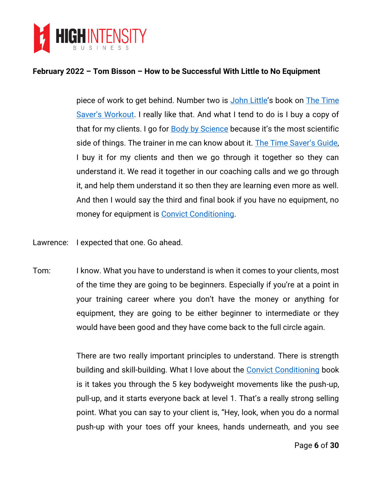

piece of work to get behind. Number two is [John Little](https://www.linkedin.com/in/john-little-4842b564/)'s book on [The Time](https://www.amazon.com/Time-Savers-Workout-Debunking-Revolutionary-Exercise/dp/1510733302)  [Saver's Workout](https://www.amazon.com/Time-Savers-Workout-Debunking-Revolutionary-Exercise/dp/1510733302). I really like that. And what I tend to do is I buy a copy of that for my clients. I go for **Body by Science** because it's the most scientific side of things. The trainer in me can know about it. [The Time Saver's Guide](https://www.amazon.com/Time-Savers-Workout-Debunking-Revolutionary-Exercise/dp/1510733302), I buy it for my clients and then we go through it together so they can understand it. We read it together in our coaching calls and we go through it, and help them understand it so then they are learning even more as well. And then I would say the third and final book if you have no equipment, no money for equipment is [Convict Conditioning.](https://www.amazon.com/Convict-Conditioning-Weakness-Using-Survival-Strength-ebook/dp/B004XIZN5M)

Lawrence: I expected that one. Go ahead.

Tom: I know. What you have to understand is when it comes to your clients, most of the time they are going to be beginners. Especially if you're at a point in your training career where you don't have the money or anything for equipment, they are going to be either beginner to intermediate or they would have been good and they have come back to the full circle again.

> There are two really important principles to understand. There is strength building and skill-building. What I love about the [Convict Conditioning](https://www.amazon.com/Convict-Conditioning-Weakness-Using-Survival-Strength-ebook/dp/B004XIZN5M) book is it takes you through the 5 key bodyweight movements like the push-up, pull-up, and it starts everyone back at level 1. That's a really strong selling point. What you can say to your client is, "Hey, look, when you do a normal push-up with your toes off your knees, hands underneath, and you see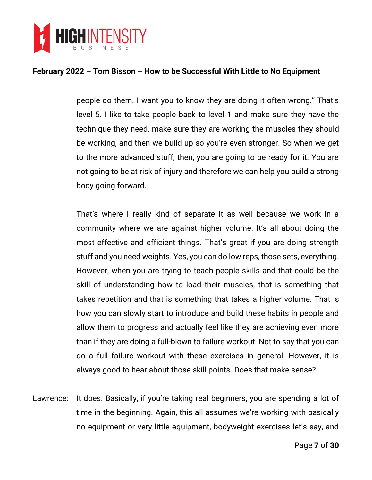

people do them. I want you to know they are doing it often wrong." That's level 5. I like to take people back to level 1 and make sure they have the technique they need, make sure they are working the muscles they should be working, and then we build up so you're even stronger. So when we get to the more advanced stuff, then, you are going to be ready for it. You are not going to be at risk of injury and therefore we can help you build a strong body going forward.

That's where I really kind of separate it as well because we work in a community where we are against higher volume. It's all about doing the most effective and efficient things. That's great if you are doing strength stuff and you need weights. Yes, you can do low reps, those sets, everything. However, when you are trying to teach people skills and that could be the skill of understanding how to load their muscles, that is something that takes repetition and that is something that takes a higher volume. That is how you can slowly start to introduce and build these habits in people and allow them to progress and actually feel like they are achieving even more than if they are doing a full-blown to failure workout. Not to say that you can do a full failure workout with these exercises in general. However, it is always good to hear about those skill points. Does that make sense?

Lawrence: It does. Basically, if you're taking real beginners, you are spending a lot of time in the beginning. Again, this all assumes we're working with basically no equipment or very little equipment, bodyweight exercises let's say, and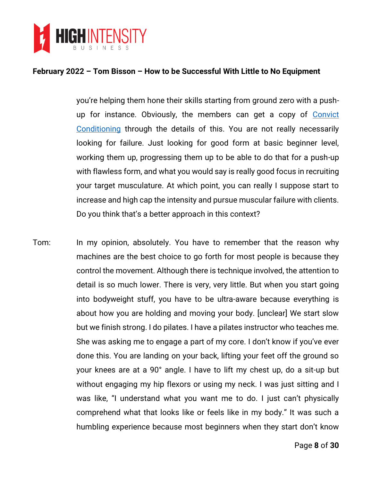

you're helping them hone their skills starting from ground zero with a pushup for instance. Obviously, the members can get a copy of [Convict](https://www.amazon.com/Convict-Conditioning-Weakness-Using-Survival-Strength-ebook/dp/B004XIZN5M)  [Conditioning](https://www.amazon.com/Convict-Conditioning-Weakness-Using-Survival-Strength-ebook/dp/B004XIZN5M) through the details of this. You are not really necessarily looking for failure. Just looking for good form at basic beginner level, working them up, progressing them up to be able to do that for a push-up with flawless form, and what you would say is really good focus in recruiting your target musculature. At which point, you can really I suppose start to increase and high cap the intensity and pursue muscular failure with clients. Do you think that's a better approach in this context?

Tom: In my opinion, absolutely. You have to remember that the reason why machines are the best choice to go forth for most people is because they control the movement. Although there is technique involved, the attention to detail is so much lower. There is very, very little. But when you start going into bodyweight stuff, you have to be ultra-aware because everything is about how you are holding and moving your body. [unclear] We start slow but we finish strong. I do pilates. I have a pilates instructor who teaches me. She was asking me to engage a part of my core. I don't know if you've ever done this. You are landing on your back, lifting your feet off the ground so your knees are at a 90° angle. I have to lift my chest up, do a sit-up but without engaging my hip flexors or using my neck. I was just sitting and I was like, "I understand what you want me to do. I just can't physically comprehend what that looks like or feels like in my body." It was such a humbling experience because most beginners when they start don't know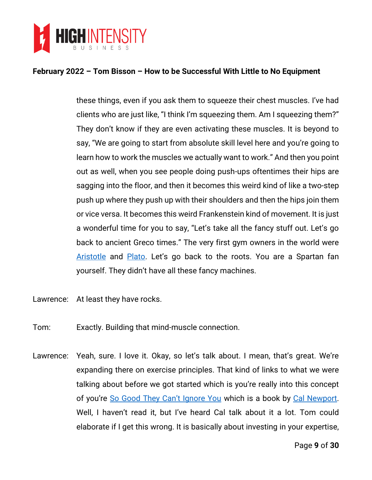

these things, even if you ask them to squeeze their chest muscles. I've had clients who are just like, "I think I'm squeezing them. Am I squeezing them?" They don't know if they are even activating these muscles. It is beyond to say, "We are going to start from absolute skill level here and you're going to learn how to work the muscles we actually want to work." And then you point out as well, when you see people doing push-ups oftentimes their hips are sagging into the floor, and then it becomes this weird kind of like a two-step push up where they push up with their shoulders and then the hips join them or vice versa. It becomes this weird Frankenstein kind of movement. It is just a wonderful time for you to say, "Let's take all the fancy stuff out. Let's go back to ancient Greco times." The very first gym owners in the world were [Aristotle](https://en.wikipedia.org/wiki/Aristotle) and [Plato](https://en.wikipedia.org/wiki/Plato). Let's go back to the roots. You are a Spartan fan yourself. They didn't have all these fancy machines.

- Lawrence: At least they have rocks.
- Tom: Exactly. Building that mind-muscle connection.
- Lawrence: Yeah, sure. I love it. Okay, so let's talk about. I mean, that's great. We're expanding there on exercise principles. That kind of links to what we were talking about before we got started which is you're really into this concept of you're [So Good They Can't Ignore You](https://www.amazon.com/Good-They-Cant-Ignore-You/dp/1455509124) which is a book by [Cal Newport.](https://www.calnewport.com/) Well, I haven't read it, but I've heard Cal talk about it a lot. Tom could elaborate if I get this wrong. It is basically about investing in your expertise,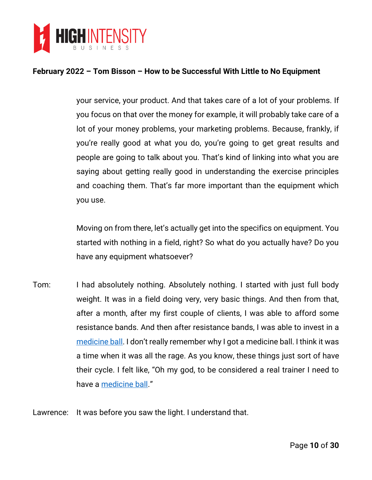

your service, your product. And that takes care of a lot of your problems. If you focus on that over the money for example, it will probably take care of a lot of your money problems, your marketing problems. Because, frankly, if you're really good at what you do, you're going to get great results and people are going to talk about you. That's kind of linking into what you are saying about getting really good in understanding the exercise principles and coaching them. That's far more important than the equipment which you use.

Moving on from there, let's actually get into the specifics on equipment. You started with nothing in a field, right? So what do you actually have? Do you have any equipment whatsoever?

- Tom: I had absolutely nothing. Absolutely nothing. I started with just full body weight. It was in a field doing very, very basic things. And then from that, after a month, after my first couple of clients, I was able to afford some resistance bands. And then after resistance bands, I was able to invest in a [medicine ball](https://en.wikipedia.org/wiki/Medicine_ball). I don't really remember why I got a medicine ball. I think it was a time when it was all the rage. As you know, these things just sort of have their cycle. I felt like, "Oh my god, to be considered a real trainer I need to have a [medicine ball](https://en.wikipedia.org/wiki/Medicine_ball)."
- Lawrence: It was before you saw the light. I understand that.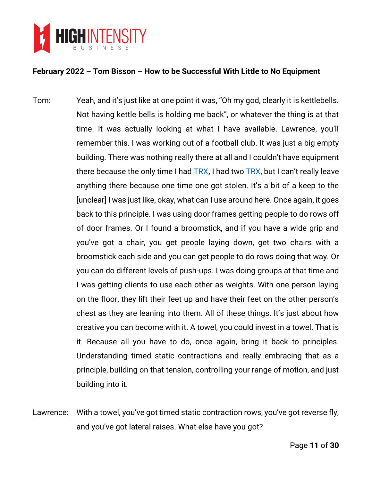

- Tom: Yeah, and it's just like at one point it was, "Oh my god, clearly it is kettlebells. Not having kettle bells is holding me back", or whatever the thing is at that time. It was actually looking at what I have available. Lawrence, you'll remember this. I was working out of a football club. It was just a big empty building. There was nothing really there at all and I couldn't have equipment there because the only time I had [TRX](https://www.trxtraining.com/)**,** I had two [TRX](https://www.trxtraining.com/), but I can't really leave anything there because one time one got stolen. It's a bit of a keep to the [unclear] I was just like, okay, what can I use around here. Once again, it goes back to this principle. I was using door frames getting people to do rows off of door frames. Or I found a broomstick, and if you have a wide grip and you've got a chair, you get people laying down, get two chairs with a broomstick each side and you can get people to do rows doing that way. Or you can do different levels of push-ups. I was doing groups at that time and I was getting clients to use each other as weights. With one person laying on the floor, they lift their feet up and have their feet on the other person's chest as they are leaning into them. All of these things. It's just about how creative you can become with it. A towel, you could invest in a towel. That is it. Because all you have to do, once again, bring it back to principles. Understanding timed static contractions and really embracing that as a principle, building on that tension, controlling your range of motion, and just building into it.
- Lawrence: With a towel, you've got timed static contraction rows, you've got reverse fly, and you've got lateral raises. What else have you got?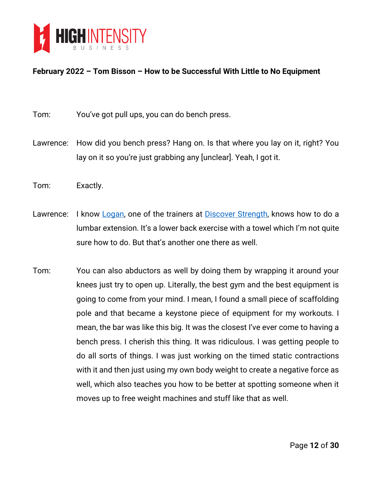

- Tom: You've got pull ups, you can do bench press.
- Lawrence: How did you bench press? Hang on. Is that where you lay on it, right? You lay on it so you're just grabbing any [unclear]. Yeah, I got it.
- Tom: Exactly.
- Lawrence: I know [Logan,](https://www.how2lookgoodnaked.com/) one of the trainers at [Discover Strength,](https://www.discoverstrength.com/) knows how to do a lumbar extension. It's a lower back exercise with a towel which I'm not quite sure how to do. But that's another one there as well.
- Tom: You can also abductors as well by doing them by wrapping it around your knees just try to open up. Literally, the best gym and the best equipment is going to come from your mind. I mean, I found a small piece of scaffolding pole and that became a keystone piece of equipment for my workouts. I mean, the bar was like this big. It was the closest I've ever come to having a bench press. I cherish this thing. It was ridiculous. I was getting people to do all sorts of things. I was just working on the timed static contractions with it and then just using my own body weight to create a negative force as well, which also teaches you how to be better at spotting someone when it moves up to free weight machines and stuff like that as well.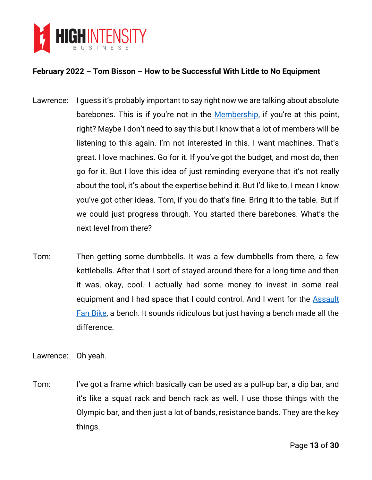

- Lawrence: I quess it's probably important to say right now we are talking about absolute barebones. This is if you're not in the **[Membership](https://highintensitybusiness.com/members/index.php)**, if you're at this point, right? Maybe I don't need to say this but I know that a lot of members will be listening to this again. I'm not interested in this. I want machines. That's great. I love machines. Go for it. If you've got the budget, and most do, then go for it. But I love this idea of just reminding everyone that it's not really about the tool, it's about the expertise behind it. But I'd like to, I mean I know you've got other ideas. Tom, if you do that's fine. Bring it to the table. But if we could just progress through. You started there barebones. What's the next level from there?
- Tom: Then getting some dumbbells. It was a few dumbbells from there, a few kettlebells. After that I sort of stayed around there for a long time and then it was, okay, cool. I actually had some money to invest in some real equipment and I had space that I could control. And I went for the **Assault** [Fan Bike,](https://www.assaultfitness.com/products/airbike-classic) a bench. It sounds ridiculous but just having a bench made all the difference.

Lawrence: Oh yeah.

Tom: I've got a frame which basically can be used as a pull-up bar, a dip bar, and it's like a squat rack and bench rack as well. I use those things with the Olympic bar, and then just a lot of bands, resistance bands. They are the key things.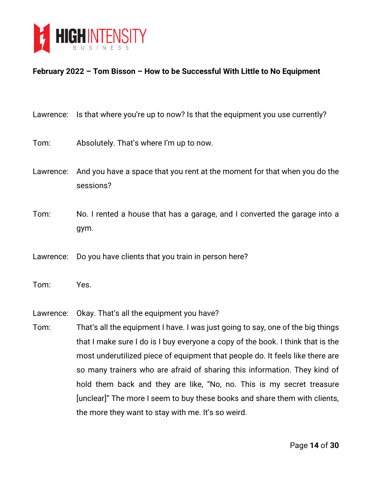

| Lawrence: | Is that where you're up to now? Is that the equipment you use currently?               |
|-----------|----------------------------------------------------------------------------------------|
| Tom:      | Absolutely. That's where I'm up to now.                                                |
| Lawrence: | And you have a space that you rent at the moment for that when you do the<br>sessions? |
| Tom:      | No. I rented a house that has a garage, and I converted the garage into a<br>gym.      |
| Lawrence: | Do you have clients that you train in person here?                                     |
| Tom:      | Yes.                                                                                   |
| Lawrence: | Okay. That's all the equipment you have?                                               |
| Tom:      | That's all the equipment I have. I was just going to say, one of the big things        |
|           | that I make sure I do is I buy everyone a copy of the book. I think that is the        |
|           | most underutilized piece of equipment that people do. It feels like there are          |
|           | so many trainers who are afraid of sharing this information. They kind of              |
|           | hold them back and they are like, "No, no. This is my secret treasure                  |
|           | [unclear]" The more I seem to buy these books and share them with clients,             |
|           | the more they want to stay with me. It's so weird.                                     |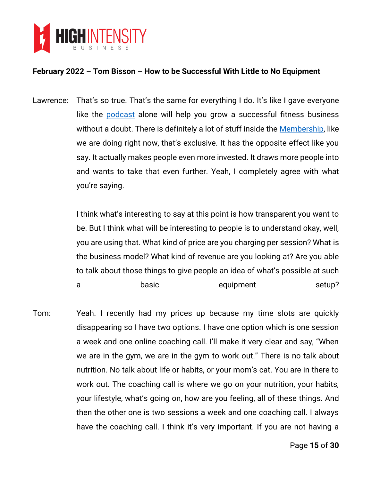

Lawrence: That's so true. That's the same for everything I do. It's like I gave everyone like the **[podcast](https://highintensitybusiness.com/podcasts/)** alone will help you grow a successful fitness business without a doubt. There is definitely a lot of stuff inside the **Membership**, like we are doing right now, that's exclusive. It has the opposite effect like you say. It actually makes people even more invested. It draws more people into and wants to take that even further. Yeah, I completely agree with what you're saying.

> I think what's interesting to say at this point is how transparent you want to be. But I think what will be interesting to people is to understand okay, well, you are using that. What kind of price are you charging per session? What is the business model? What kind of revenue are you looking at? Are you able to talk about those things to give people an idea of what's possible at such a basic basic equipment setup?

Tom: Yeah. I recently had my prices up because my time slots are quickly disappearing so I have two options. I have one option which is one session a week and one online coaching call. I'll make it very clear and say, "When we are in the gym, we are in the gym to work out." There is no talk about nutrition. No talk about life or habits, or your mom's cat. You are in there to work out. The coaching call is where we go on your nutrition, your habits, your lifestyle, what's going on, how are you feeling, all of these things. And then the other one is two sessions a week and one coaching call. I always have the coaching call. I think it's very important. If you are not having a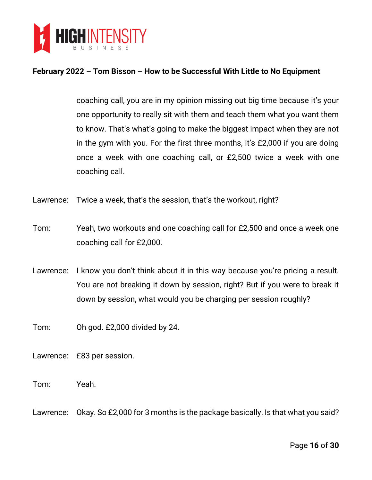

coaching call, you are in my opinion missing out big time because it's your one opportunity to really sit with them and teach them what you want them to know. That's what's going to make the biggest impact when they are not in the gym with you. For the first three months, it's £2,000 if you are doing once a week with one coaching call, or £2,500 twice a week with one coaching call.

- Lawrence: Twice a week, that's the session, that's the workout, right?
- Tom: Yeah, two workouts and one coaching call for £2,500 and once a week one coaching call for £2,000.
- Lawrence: I know you don't think about it in this way because you're pricing a result. You are not breaking it down by session, right? But if you were to break it down by session, what would you be charging per session roughly?

Tom: Oh god. £2,000 divided by 24.

- Lawrence: £83 per session.
- Tom: Yeah.
- Lawrence: Okay. So £2,000 for 3 months is the package basically. Is that what you said?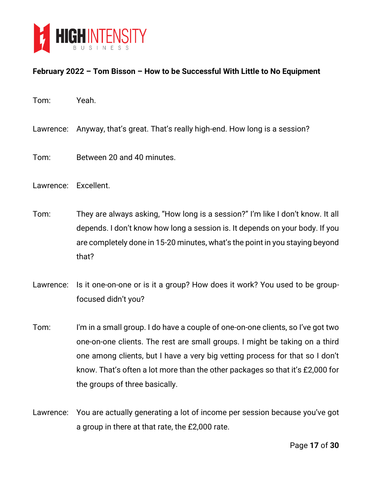

- Tom: Yeah.
- Lawrence: Anyway, that's great. That's really high-end. How long is a session?
- Tom: Between 20 and 40 minutes.
- Lawrence: Excellent.
- Tom: They are always asking, "How long is a session?" I'm like I don't know. It all depends. I don't know how long a session is. It depends on your body. If you are completely done in 15-20 minutes, what's the point in you staying beyond that?
- Lawrence: Is it one-on-one or is it a group? How does it work? You used to be groupfocused didn't you?
- Tom: I'm in a small group. I do have a couple of one-on-one clients, so I've got two one-on-one clients. The rest are small groups. I might be taking on a third one among clients, but I have a very big vetting process for that so I don't know. That's often a lot more than the other packages so that it's £2,000 for the groups of three basically.
- Lawrence: You are actually generating a lot of income per session because you've got a group in there at that rate, the £2,000 rate.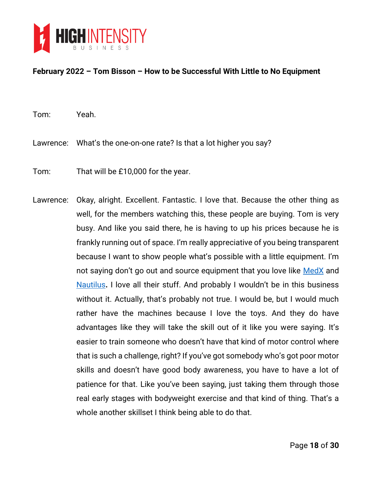

Tom: Yeah.

- Lawrence: What's the one-on-one rate? Is that a lot higher you say?
- Tom: That will be £10,000 for the year.
- Lawrence: Okay, alright. Excellent. Fantastic. I love that. Because the other thing as well, for the members watching this, these people are buying. Tom is very busy. And like you said there, he is having to up his prices because he is frankly running out of space. I'm really appreciative of you being transparent because I want to show people what's possible with a little equipment. I'm not saying don't go out and source equipment that you love like [MedX](http://medxonline.net/) and [Nautilus](https://www.nautilusinc.com/)**.** I love all their stuff. And probably I wouldn't be in this business without it. Actually, that's probably not true. I would be, but I would much rather have the machines because I love the toys. And they do have advantages like they will take the skill out of it like you were saying. It's easier to train someone who doesn't have that kind of motor control where that is such a challenge, right? If you've got somebody who's got poor motor skills and doesn't have good body awareness, you have to have a lot of patience for that. Like you've been saying, just taking them through those real early stages with bodyweight exercise and that kind of thing. That's a whole another skillset I think being able to do that.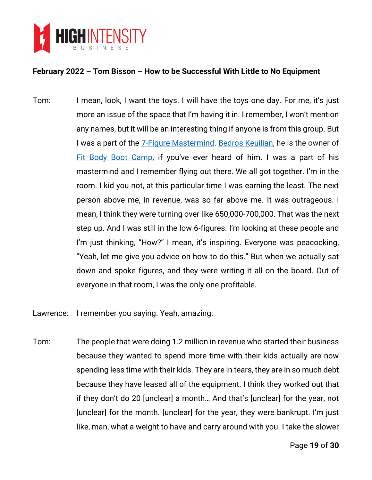

Tom: I mean, look, I want the toys. I will have the toys one day. For me, it's just more an issue of the space that I'm having it in. I remember, I won't mention any names, but it will be an interesting thing if anyone is from this group. But I was a part of the [7-Figure Mastermind.](https://7figuremastermind.com/) [Bedros Keuilian,](https://bedroskeuilian.com/) he is the owner of [Fit Body Boot Camp](https://fitbodybootcamp.com/), if you've ever heard of him. I was a part of his mastermind and I remember flying out there. We all got together. I'm in the room. I kid you not, at this particular time I was earning the least. The next person above me, in revenue, was so far above me. It was outrageous. I mean, I think they were turning over like 650,000-700,000. That was the next step up. And I was still in the low 6-figures. I'm looking at these people and I'm just thinking, "How?" I mean, it's inspiring. Everyone was peacocking, "Yeah, let me give you advice on how to do this." But when we actually sat down and spoke figures, and they were writing it all on the board. Out of everyone in that room, I was the only one profitable.

Lawrence: I remember you saying. Yeah, amazing.

Tom: The people that were doing 1.2 million in revenue who started their business because they wanted to spend more time with their kids actually are now spending less time with their kids. They are in tears, they are in so much debt because they have leased all of the equipment. I think they worked out that if they don't do 20 [unclear] a month… And that's [unclear] for the year, not [unclear] for the month. [unclear] for the year, they were bankrupt. I'm just like, man, what a weight to have and carry around with you. I take the slower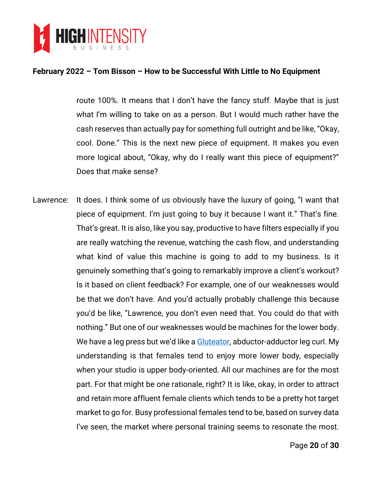

route 100%. It means that I don't have the fancy stuff. Maybe that is just what I'm willing to take on as a person. But I would much rather have the cash reserves than actually pay for something full outright and be like, "Okay, cool. Done." This is the next new piece of equipment. It makes you even more logical about, "Okay, why do I really want this piece of equipment?" Does that make sense?

Lawrence: It does. I think some of us obviously have the luxury of going, "I want that piece of equipment. I'm just going to buy it because I want it." That's fine. That's great. It is also, like you say, productive to have filters especially if you are really watching the revenue, watching the cash flow, and understanding what kind of value this machine is going to add to my business. Is it genuinely something that's going to remarkably improve a client's workout? Is it based on client feedback? For example, one of our weaknesses would be that we don't have. And you'd actually probably challenge this because you'd be like, "Lawrence, you don't even need that. You could do that with nothing." But one of our weaknesses would be machines for the lower body. We have a leg press but we'd like a [Gluteator,](https://www.dynavecmd.com/gluteator-glute-system) abductor-adductor leg curl. My understanding is that females tend to enjoy more lower body, especially when your studio is upper body-oriented. All our machines are for the most part. For that might be one rationale, right? It is like, okay, in order to attract and retain more affluent female clients which tends to be a pretty hot target market to go for. Busy professional females tend to be, based on survey data I've seen, the market where personal training seems to resonate the most.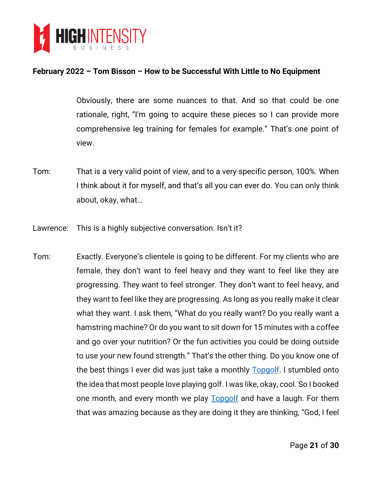

Obviously, there are some nuances to that. And so that could be one rationale, right, "I'm going to acquire these pieces so I can provide more comprehensive leg training for females for example." That's one point of view.

- Tom: That is a very valid point of view, and to a very specific person, 100%. When I think about it for myself, and that's all you can ever do. You can only think about, okay, what…
- Lawrence: This is a highly subjective conversation. Isn't it?
- Tom: Exactly. Everyone's clientele is going to be different. For my clients who are female, they don't want to feel heavy and they want to feel like they are progressing. They want to feel stronger. They don't want to feel heavy, and they want to feel like they are progressing. As long as you really make it clear what they want. I ask them, "What do you really want? Do you really want a hamstring machine? Or do you want to sit down for 15 minutes with a coffee and go over your nutrition? Or the fun activities you could be doing outside to use your new found strength." That's the other thing. Do you know one of the best things I ever did was just take a monthly [Topgolf.](https://topgolf.com/) I stumbled onto the idea that most people love playing golf. I was like, okay, cool. So I booked one month, and every month we play **Topgolf** and have a laugh. For them that was amazing because as they are doing it they are thinking, "God, I feel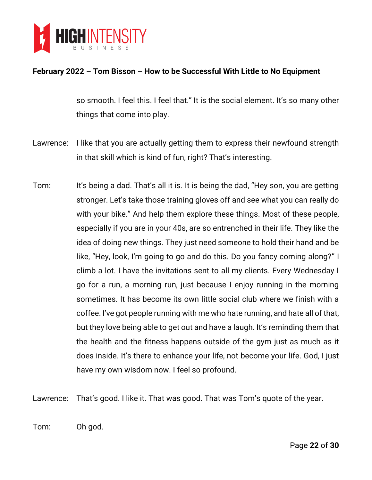

so smooth. I feel this. I feel that." It is the social element. It's so many other things that come into play.

- Lawrence: I like that you are actually getting them to express their newfound strength in that skill which is kind of fun, right? That's interesting.
- Tom: It's being a dad. That's all it is. It is being the dad, "Hey son, you are getting stronger. Let's take those training gloves off and see what you can really do with your bike." And help them explore these things. Most of these people, especially if you are in your 40s, are so entrenched in their life. They like the idea of doing new things. They just need someone to hold their hand and be like, "Hey, look, I'm going to go and do this. Do you fancy coming along?" I climb a lot. I have the invitations sent to all my clients. Every Wednesday I go for a run, a morning run, just because I enjoy running in the morning sometimes. It has become its own little social club where we finish with a coffee. I've got people running with me who hate running, and hate all of that, but they love being able to get out and have a laugh. It's reminding them that the health and the fitness happens outside of the gym just as much as it does inside. It's there to enhance your life, not become your life. God, I just have my own wisdom now. I feel so profound.

Lawrence: That's good. I like it. That was good. That was Tom's quote of the year.

Tom: Oh god.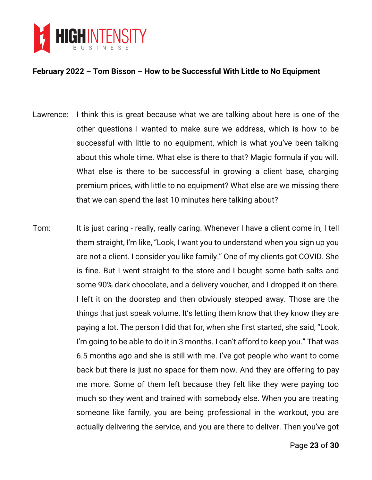

- Lawrence: I think this is great because what we are talking about here is one of the other questions I wanted to make sure we address, which is how to be successful with little to no equipment, which is what you've been talking about this whole time. What else is there to that? Magic formula if you will. What else is there to be successful in growing a client base, charging premium prices, with little to no equipment? What else are we missing there that we can spend the last 10 minutes here talking about?
- Tom: It is just caring really, really caring. Whenever I have a client come in, I tell them straight, I'm like, "Look, I want you to understand when you sign up you are not a client. I consider you like family." One of my clients got COVID. She is fine. But I went straight to the store and I bought some bath salts and some 90% dark chocolate, and a delivery voucher, and I dropped it on there. I left it on the doorstep and then obviously stepped away. Those are the things that just speak volume. It's letting them know that they know they are paying a lot. The person I did that for, when she first started, she said, "Look, I'm going to be able to do it in 3 months. I can't afford to keep you." That was 6.5 months ago and she is still with me. I've got people who want to come back but there is just no space for them now. And they are offering to pay me more. Some of them left because they felt like they were paying too much so they went and trained with somebody else. When you are treating someone like family, you are being professional in the workout, you are actually delivering the service, and you are there to deliver. Then you've got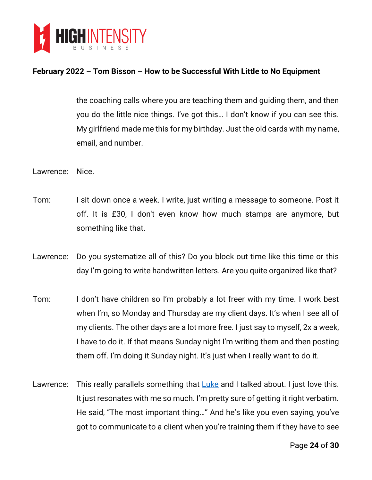

the coaching calls where you are teaching them and guiding them, and then you do the little nice things. I've got this… I don't know if you can see this. My girlfriend made me this for my birthday. Just the old cards with my name, email, and number.

- Lawrence: Nice.
- Tom: I sit down once a week. I write, just writing a message to someone. Post it off. It is £30, I don't even know how much stamps are anymore, but something like that.
- Lawrence: Do you systematize all of this? Do you block out time like this time or this day I'm going to write handwritten letters. Are you quite organized like that?
- Tom: I don't have children so I'm probably a lot freer with my time. I work best when I'm, so Monday and Thursday are my client days. It's when I see all of my clients. The other days are a lot more free. I just say to myself, 2x a week, I have to do it. If that means Sunday night I'm writing them and then posting them off. I'm doing it Sunday night. It's just when I really want to do it.
- Lawrence: This really parallels something that  $Luke$  and I talked about. I just love this. It just resonates with me so much. I'm pretty sure of getting it right verbatim. He said, "The most important thing…" And he's like you even saying, you've got to communicate to a client when you're training them if they have to see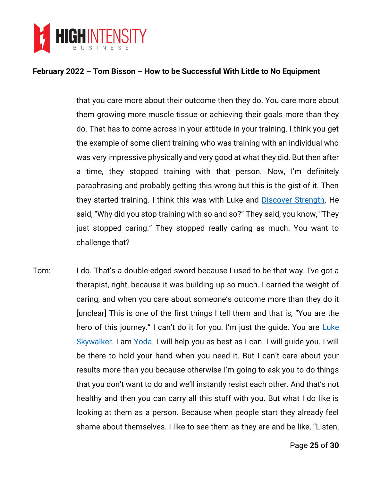

that you care more about their outcome then they do. You care more about them growing more muscle tissue or achieving their goals more than they do. That has to come across in your attitude in your training. I think you get the example of some client training who was training with an individual who was very impressive physically and very good at what they did. But then after a time, they stopped training with that person. Now, I'm definitely paraphrasing and probably getting this wrong but this is the gist of it. Then they started training. I think this was with Luke and [Discover Strength.](https://www.discoverstrength.com/) He said, "Why did you stop training with so and so?" They said, you know, "They just stopped caring." They stopped really caring as much. You want to challenge that?

Tom: I do. That's a double-edged sword because I used to be that way. I've got a therapist, right, because it was building up so much. I carried the weight of caring, and when you care about someone's outcome more than they do it [unclear] This is one of the first things I tell them and that is, "You are the hero of this journey." I can't do it for you. I'm just the guide. You are Luke [Skywalker.](https://en.wikipedia.org/wiki/Luke_Skywalker) I am [Yoda.](https://en.wikipedia.org/wiki/Yoda) I will help you as best as I can. I will guide you. I will be there to hold your hand when you need it. But I can't care about your results more than you because otherwise I'm going to ask you to do things that you don't want to do and we'll instantly resist each other. And that's not healthy and then you can carry all this stuff with you. But what I do like is looking at them as a person. Because when people start they already feel shame about themselves. I like to see them as they are and be like, "Listen,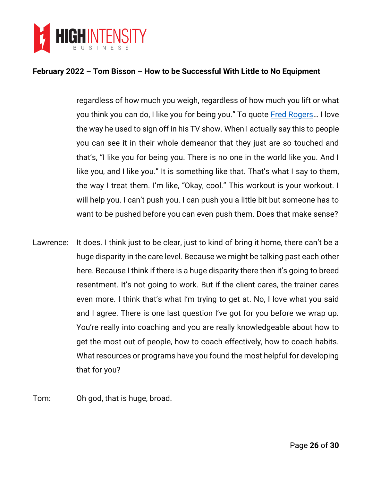

regardless of how much you weigh, regardless of how much you lift or what you think you can do, I like you for being you." To quote [Fred Rogers](https://en.wikipedia.org/wiki/Fred_Rogers)... I love the way he used to sign off in his TV show. When I actually say this to people you can see it in their whole demeanor that they just are so touched and that's, "I like you for being you. There is no one in the world like you. And I like you, and I like you." It is something like that. That's what I say to them, the way I treat them. I'm like, "Okay, cool." This workout is your workout. I will help you. I can't push you. I can push you a little bit but someone has to want to be pushed before you can even push them. Does that make sense?

- Lawrence: It does. I think just to be clear, just to kind of bring it home, there can't be a huge disparity in the care level. Because we might be talking past each other here. Because I think if there is a huge disparity there then it's going to breed resentment. It's not going to work. But if the client cares, the trainer cares even more. I think that's what I'm trying to get at. No, I love what you said and I agree. There is one last question I've got for you before we wrap up. You're really into coaching and you are really knowledgeable about how to get the most out of people, how to coach effectively, how to coach habits. What resources or programs have you found the most helpful for developing that for you?
- Tom: Oh god, that is huge, broad.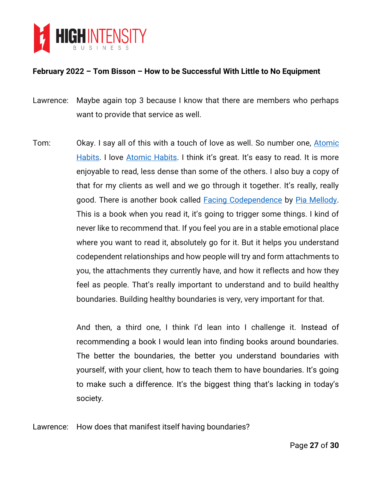

- Lawrence: Maybe again top 3 because I know that there are members who perhaps want to provide that service as well.
- Tom: Okay. I say all of this with a touch of love as well. So number one, [Atomic](https://www.amazon.com/Atomic-Habits-Proven-Build-Break/dp/0735211299)  [Habits.](https://www.amazon.com/Atomic-Habits-Proven-Build-Break/dp/0735211299) I love [Atomic Habits](https://www.amazon.com/Atomic-Habits-Proven-Build-Break/dp/0735211299). I think it's great. It's easy to read. It is more enjoyable to read, less dense than some of the others. I also buy a copy of that for my clients as well and we go through it together. It's really, really good. There is another book called [Facing Codependence](https://www.amazon.com/Facing-Codependence-Where-Comes-Sabotages/dp/0062505890) by [Pia Mellody.](http://www.piamellody.com/) This is a book when you read it, it's going to trigger some things. I kind of never like to recommend that. If you feel you are in a stable emotional place where you want to read it, absolutely go for it. But it helps you understand codependent relationships and how people will try and form attachments to you, the attachments they currently have, and how it reflects and how they feel as people. That's really important to understand and to build healthy boundaries. Building healthy boundaries is very, very important for that.

And then, a third one, I think I'd lean into I challenge it. Instead of recommending a book I would lean into finding books around boundaries. The better the boundaries, the better you understand boundaries with yourself, with your client, how to teach them to have boundaries. It's going to make such a difference. It's the biggest thing that's lacking in today's society.

Lawrence: How does that manifest itself having boundaries?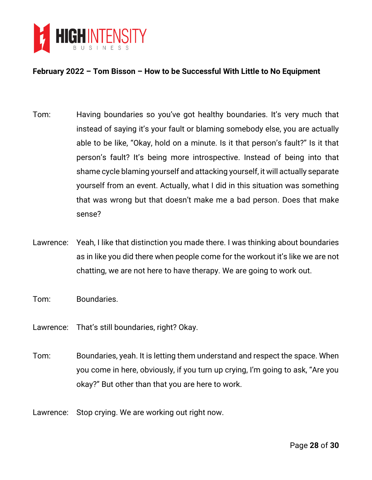

- Tom: Having boundaries so you've got healthy boundaries. It's very much that instead of saying it's your fault or blaming somebody else, you are actually able to be like, "Okay, hold on a minute. Is it that person's fault?" Is it that person's fault? It's being more introspective. Instead of being into that shame cycle blaming yourself and attacking yourself, it will actually separate yourself from an event. Actually, what I did in this situation was something that was wrong but that doesn't make me a bad person. Does that make sense?
- Lawrence: Yeah, I like that distinction you made there. I was thinking about boundaries as in like you did there when people come for the workout it's like we are not chatting, we are not here to have therapy. We are going to work out.
- Tom: Boundaries.
- Lawrence: That's still boundaries, right? Okay.
- Tom: Boundaries, yeah. It is letting them understand and respect the space. When you come in here, obviously, if you turn up crying, I'm going to ask, "Are you okay?" But other than that you are here to work.
- Lawrence: Stop crying. We are working out right now.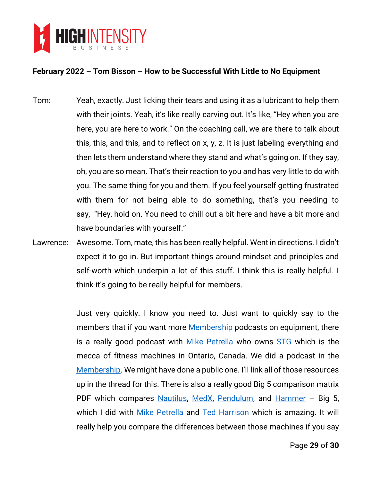

- Tom: Yeah, exactly. Just licking their tears and using it as a lubricant to help them with their joints. Yeah, it's like really carving out. It's like, "Hey when you are here, you are here to work." On the coaching call, we are there to talk about this, this, and this, and to reflect on x, y, z. It is just labeling everything and then lets them understand where they stand and what's going on. If they say, oh, you are so mean. That's their reaction to you and has very little to do with you. The same thing for you and them. If you feel yourself getting frustrated with them for not being able to do something, that's you needing to say, "Hey, hold on. You need to chill out a bit here and have a bit more and have boundaries with yourself."
- Lawrence: Awesome. Tom, mate, this has been really helpful. Went in directions. I didn't expect it to go in. But important things around mindset and principles and self-worth which underpin a lot of this stuff. I think this is really helpful. I think it's going to be really helpful for members.

Just very quickly. I know you need to. Just want to quickly say to the members that if you want more **Membership** podcasts on equipment, there is a really good podcast with [Mike Petrella](http://stgstrengthandpower.com/) who owns [STG](http://stgstrengthandpower.com/) which is the mecca of fitness machines in Ontario, Canada. We did a podcast in the [Membership](https://highintensitybusiness.com/members/index.php). We might have done a public one. I'll link all of those resources up in the thread for this. There is also a really good Big 5 comparison matrix PDF which compares [Nautilus,](https://www.nautilusinc.com/) [MedX,](http://medxonline.net/) [Pendulum,](https://www.rogersathletic.com/pendulum) and [Hammer](https://lifefitness.com/hammer-strength) - Big 5, which I did with [Mike Petrella](http://stgstrengthandpower.com/) and [Ted Harrison](https://www.vitalexercise.com/) which is amazing. It will really help you compare the differences between those machines if you say